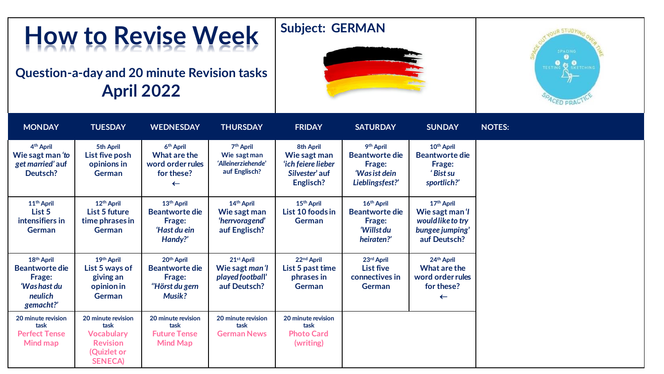## **How to Revise Week**

## **Question-a-day and 20 minute Revision tasks April 2022**





| <b>MONDAY</b>                                                                                     | <b>TUESDAY</b>                                                                                      | <b>WEDNESDAY</b>                                                                             | <b>THURSDAY</b>                                                              | <b>FRIDAY</b>                                                                  | <b>SATURDAY</b>                                                                              | <b>SUNDAY</b>                                                                                     | <b>NOTES:</b> |
|---------------------------------------------------------------------------------------------------|-----------------------------------------------------------------------------------------------------|----------------------------------------------------------------------------------------------|------------------------------------------------------------------------------|--------------------------------------------------------------------------------|----------------------------------------------------------------------------------------------|---------------------------------------------------------------------------------------------------|---------------|
| 4 <sup>th</sup> April<br>Wie sagt man 'to<br>get married' auf<br>Deutsch?                         | 5th April<br>List five posh<br>opinions in<br><b>German</b>                                         | 6 <sup>th</sup> April<br>What are the<br>word order rules<br>for these?<br>$\leftarrow$      | 7 <sup>th</sup> April<br>Wie sagt man<br>'Alleinerziehende'<br>auf Englisch? | 8th April<br>Wie sagt man<br>'ich feiere lieber<br>Silvester' auf<br>Englisch? | 9 <sup>th</sup> April<br><b>Beantworte die</b><br>Frage:<br>'Was ist dein<br>Lieblingsfest?' | 10 <sup>th</sup> April<br><b>Beantworte die</b><br>Frage:<br>'Bist su<br>sportlich?'              |               |
| 11 <sup>th</sup> April<br>List 5<br>intensifiers in<br><b>German</b>                              | 12 <sup>th</sup> April<br>List 5 future<br>time phrases in<br><b>German</b>                         | 13 <sup>th</sup> April<br><b>Beantworte die</b><br>Frage:<br>'Hast du ein<br>Handy?'         | 14 <sup>th</sup> April<br>Wie sagt man<br>'herrvoragend'<br>auf Englisch?    | 15 <sup>th</sup> April<br>List 10 foods in<br><b>German</b>                    | 16 <sup>th</sup> April<br><b>Beantworte die</b><br>Frage:<br>'Willst du<br>heiraten?'        | 17 <sup>th</sup> April<br>Wie sagt man 'l<br>would like to try<br>bungee jumping'<br>auf Deutsch? |               |
| 18 <sup>th</sup> April<br><b>Beantworte die</b><br>Frage:<br>'Was hast du<br>neulich<br>gemacht?' | 19th April<br>List 5 ways of<br>giving an<br>opinion in<br>German                                   | 20 <sup>th</sup> April<br><b>Beantworte die</b><br>Frage:<br>"Hörst du gern<br><b>Musik?</b> | 21 <sup>st</sup> April<br>Wie sagt man'l<br>played football'<br>auf Deutsch? | 22nd April<br>List 5 past time<br>phrases in<br><b>German</b>                  | 23rd April<br><b>List five</b><br>connectives in<br><b>German</b>                            | 24 <sup>th</sup> April<br>What are the<br>word order rules<br>for these?<br>$\leftarrow$          |               |
| 20 minute revision<br>task<br><b>Perfect Tense</b><br>Mind map                                    | 20 minute revision<br>task<br><b>Vocabulary</b><br><b>Revision</b><br>(Quizlet or<br><b>SENECA)</b> | 20 minute revision<br>task<br><b>Future Tense</b><br><b>Mind Map</b>                         | 20 minute revision<br>task<br><b>German News</b>                             | 20 minute revision<br>task<br><b>Photo Card</b><br>(writing)                   |                                                                                              |                                                                                                   |               |